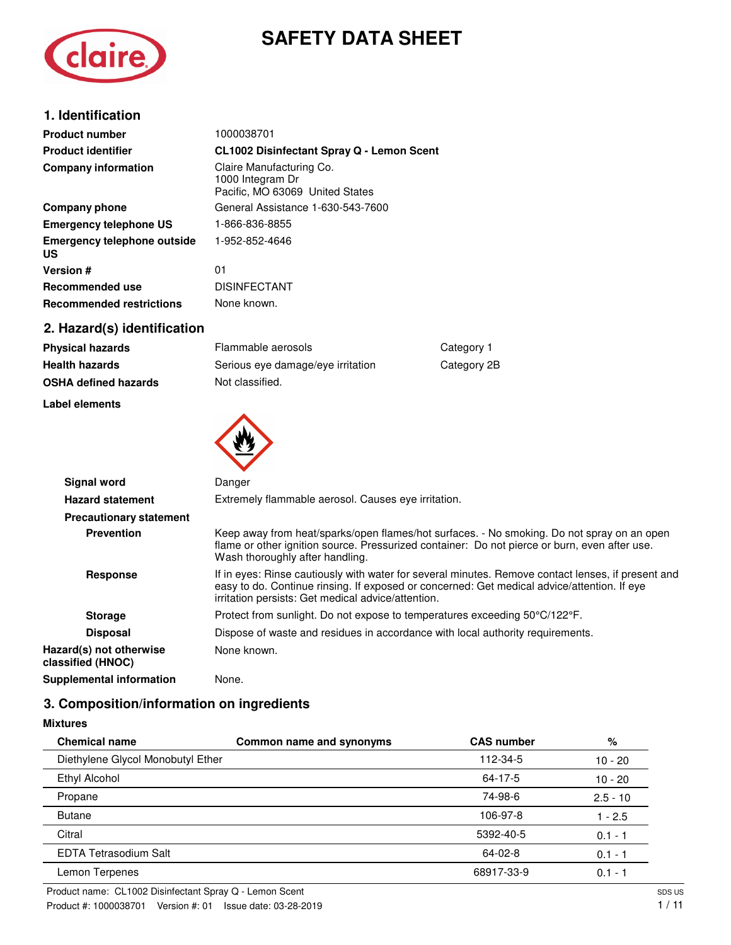# **SAFETY DATA SHEET**



| 1. Identification                        |                                                                                 |
|------------------------------------------|---------------------------------------------------------------------------------|
| <b>Product number</b>                    | 1000038701                                                                      |
| <b>Product identifier</b>                | <b>CL1002 Disinfectant Spray Q - Lemon Scent</b>                                |
| <b>Company information</b>               | Claire Manufacturing Co.<br>1000 Integram Dr<br>Pacific, MO 63069 United States |
| Company phone                            | General Assistance 1-630-543-7600                                               |
| <b>Emergency telephone US</b>            | 1-866-836-8855                                                                  |
| <b>Emergency telephone outside</b><br>US | 1-952-852-4646                                                                  |
| <b>Version #</b>                         | 01                                                                              |
| Recommended use                          | <b>DISINFECTANT</b>                                                             |
| <b>Recommended restrictions</b>          | None known.                                                                     |
| 2. Hazard(s) identification              |                                                                                 |

| <b>Physical hazards</b>     | Flammable aerosols                | Category 1  |
|-----------------------------|-----------------------------------|-------------|
| <b>Health hazards</b>       | Serious eye damage/eye irritation | Category 2B |
| <b>OSHA defined hazards</b> | Not classified.                   |             |

### **Label elements**



| <b>Signal word</b>                           | Danger                                                                                                                                                                                                                                                  |
|----------------------------------------------|---------------------------------------------------------------------------------------------------------------------------------------------------------------------------------------------------------------------------------------------------------|
| <b>Hazard statement</b>                      | Extremely flammable aerosol. Causes eve irritation.                                                                                                                                                                                                     |
| <b>Precautionary statement</b>               |                                                                                                                                                                                                                                                         |
| <b>Prevention</b>                            | Keep away from heat/sparks/open flames/hot surfaces. - No smoking. Do not spray on an open<br>flame or other ignition source. Pressurized container: Do not pierce or burn, even after use.<br>Wash thoroughly after handling.                          |
| <b>Response</b>                              | If in eyes: Rinse cautiously with water for several minutes. Remove contact lenses, if present and<br>easy to do. Continue rinsing. If exposed or concerned: Get medical advice/attention. If eye<br>irritation persists: Get medical advice/attention. |
| <b>Storage</b>                               | Protect from sunlight. Do not expose to temperatures exceeding 50°C/122°F.                                                                                                                                                                              |
| <b>Disposal</b>                              | Dispose of waste and residues in accordance with local authority requirements.                                                                                                                                                                          |
| Hazard(s) not otherwise<br>classified (HNOC) | None known.                                                                                                                                                                                                                                             |
| Supplemental information                     | None.                                                                                                                                                                                                                                                   |

# **3. Composition/information on ingredients**

**Mixtures**

| <b>Chemical name</b>              | Common name and synonyms | <b>CAS number</b> | %          |
|-----------------------------------|--------------------------|-------------------|------------|
| Diethylene Glycol Monobutyl Ether |                          | 112-34-5          | $10 - 20$  |
| Ethyl Alcohol                     |                          | 64-17-5           | $10 - 20$  |
| Propane                           |                          | 74-98-6           | $2.5 - 10$ |
| <b>Butane</b>                     |                          | 106-97-8          | $1 - 2.5$  |
| Citral                            |                          | 5392-40-5         | $0.1 - 1$  |
| <b>EDTA Tetrasodium Salt</b>      |                          | $64-02-8$         | $0.1 - 1$  |
| Lemon Terpenes                    |                          | 68917-33-9        | $0.1 - 1$  |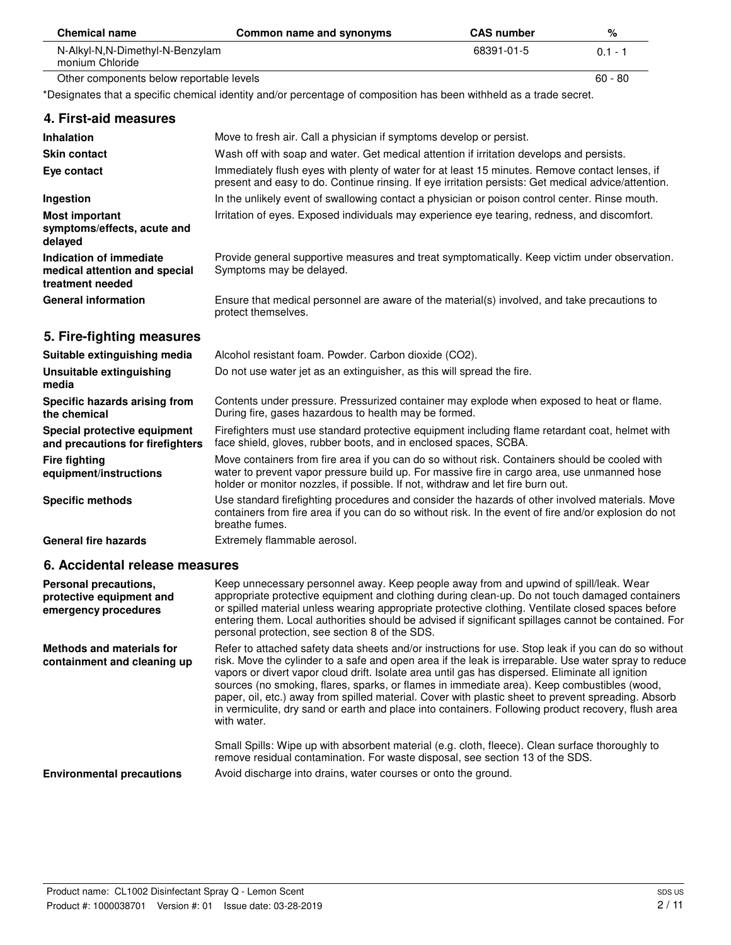| <b>Chemical name</b>                               | Common name and synonyms | <b>CAS number</b> | %        |
|----------------------------------------------------|--------------------------|-------------------|----------|
| N-Alkyl-N,N-Dimethyl-N-Benzylam<br>monium Chloride |                          | 68391-01-5        | $01 - 1$ |
| Other components below reportable levels           |                          | $60 - 80$         |          |

\*Designates that a specific chemical identity and/or percentage of composition has been withheld as a trade secret.

| 4. First-aid measures                                                        |                                                                                                                                                                                                                                                                                  |
|------------------------------------------------------------------------------|----------------------------------------------------------------------------------------------------------------------------------------------------------------------------------------------------------------------------------------------------------------------------------|
| <b>Inhalation</b>                                                            | Move to fresh air. Call a physician if symptoms develop or persist.                                                                                                                                                                                                              |
| <b>Skin contact</b>                                                          | Wash off with soap and water. Get medical attention if irritation develops and persists.                                                                                                                                                                                         |
| Eye contact                                                                  | Immediately flush eyes with plenty of water for at least 15 minutes. Remove contact lenses, if<br>present and easy to do. Continue rinsing. If eye irritation persists: Get medical advice/attention.                                                                            |
| Ingestion                                                                    | In the unlikely event of swallowing contact a physician or poison control center. Rinse mouth.                                                                                                                                                                                   |
| <b>Most important</b><br>symptoms/effects, acute and<br>delayed              | Irritation of eyes. Exposed individuals may experience eye tearing, redness, and discomfort.                                                                                                                                                                                     |
| Indication of immediate<br>medical attention and special<br>treatment needed | Provide general supportive measures and treat symptomatically. Keep victim under observation.<br>Symptoms may be delayed.                                                                                                                                                        |
| <b>General information</b>                                                   | Ensure that medical personnel are aware of the material(s) involved, and take precautions to<br>protect themselves.                                                                                                                                                              |
| 5. Fire-fighting measures                                                    |                                                                                                                                                                                                                                                                                  |
| Suitable extinguishing media                                                 | Alcohol resistant foam. Powder. Carbon dioxide (CO2).                                                                                                                                                                                                                            |
| Unsuitable extinguishing<br>media                                            | Do not use water jet as an extinguisher, as this will spread the fire.                                                                                                                                                                                                           |
| Specific hazards arising from<br>the chemical                                | Contents under pressure. Pressurized container may explode when exposed to heat or flame.<br>During fire, gases hazardous to health may be formed.                                                                                                                               |
| Special protective equipment<br>and precautions for firefighters             | Firefighters must use standard protective equipment including flame retardant coat, helmet with<br>face shield, gloves, rubber boots, and in enclosed spaces, SCBA.                                                                                                              |
| <b>Fire fighting</b><br>equipment/instructions                               | Move containers from fire area if you can do so without risk. Containers should be cooled with<br>water to prevent vapor pressure build up. For massive fire in cargo area, use unmanned hose<br>holder or monitor nozzles, if possible. If not, withdraw and let fire burn out. |
| <b>Specific methods</b>                                                      | Use standard firefighting procedures and consider the hazards of other involved materials. Move<br>containers from fire area if you can do so without risk. In the event of fire and/or explosion do not<br>breathe fumes.                                                       |
| <b>General fire hazards</b>                                                  | Extremely flammable aerosol.                                                                                                                                                                                                                                                     |

## **6. Accidental release measures**

 $\overline{\phantom{0}}$ 

| Personal precautions,<br>protective equipment and<br>emergency procedures | Keep unnecessary personnel away. Keep people away from and upwind of spill/leak. Wear<br>appropriate protective equipment and clothing during clean-up. Do not touch damaged containers<br>or spilled material unless wearing appropriate protective clothing. Ventilate closed spaces before<br>entering them. Local authorities should be advised if significant spillages cannot be contained. For<br>personal protection, see section 8 of the SDS.                                                                                                                                                                                       |
|---------------------------------------------------------------------------|-----------------------------------------------------------------------------------------------------------------------------------------------------------------------------------------------------------------------------------------------------------------------------------------------------------------------------------------------------------------------------------------------------------------------------------------------------------------------------------------------------------------------------------------------------------------------------------------------------------------------------------------------|
| Methods and materials for<br>containment and cleaning up                  | Refer to attached safety data sheets and/or instructions for use. Stop leak if you can do so without<br>risk. Move the cylinder to a safe and open area if the leak is irreparable. Use water spray to reduce<br>vapors or divert vapor cloud drift. Isolate area until gas has dispersed. Eliminate all ignition<br>sources (no smoking, flares, sparks, or flames in immediate area). Keep combustibles (wood,<br>paper, oil, etc.) away from spilled material. Cover with plastic sheet to prevent spreading. Absorb<br>in vermiculite, dry sand or earth and place into containers. Following product recovery, flush area<br>with water. |
| <b>Environmental precautions</b>                                          | Small Spills: Wipe up with absorbent material (e.g. cloth, fleece). Clean surface thoroughly to<br>remove residual contamination. For waste disposal, see section 13 of the SDS.<br>Avoid discharge into drains, water courses or onto the ground.                                                                                                                                                                                                                                                                                                                                                                                            |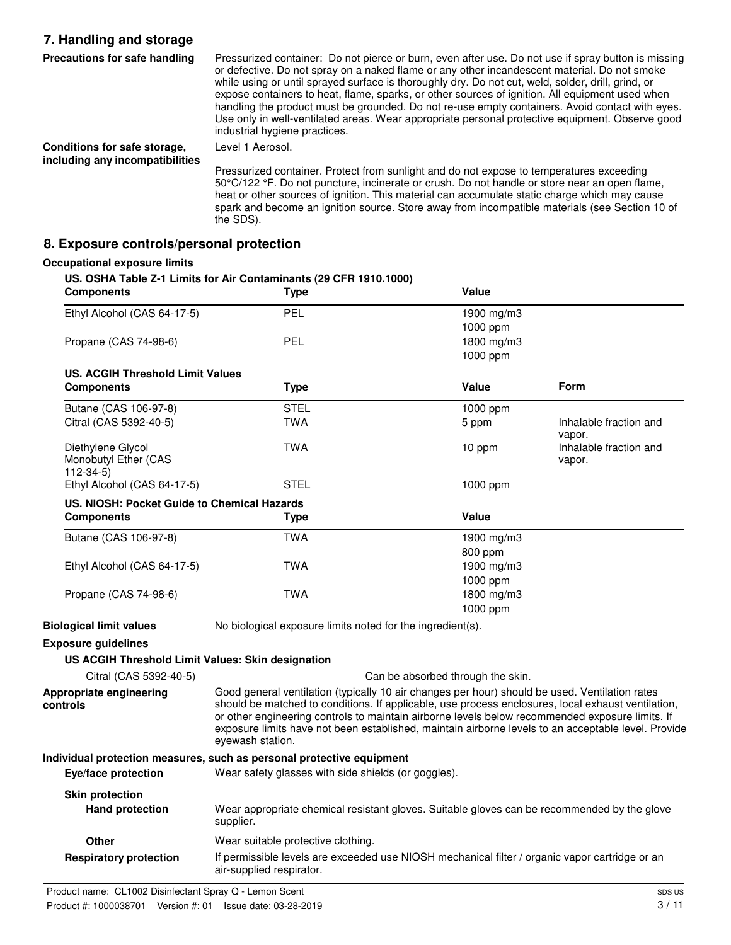# **7. Handling and storage**

| Precautions for safe handling                                   | Pressurized container: Do not pierce or burn, even after use. Do not use if spray button is missing<br>or defective. Do not spray on a naked flame or any other incandescent material. Do not smoke<br>while using or until sprayed surface is thoroughly dry. Do not cut, weld, solder, drill, grind, or<br>expose containers to heat, flame, sparks, or other sources of ignition. All equipment used when<br>handling the product must be grounded. Do not re-use empty containers. Avoid contact with eyes.<br>Use only in well-ventilated areas. Wear appropriate personal protective equipment. Observe good<br>industrial hygiene practices. |
|-----------------------------------------------------------------|-----------------------------------------------------------------------------------------------------------------------------------------------------------------------------------------------------------------------------------------------------------------------------------------------------------------------------------------------------------------------------------------------------------------------------------------------------------------------------------------------------------------------------------------------------------------------------------------------------------------------------------------------------|
| Conditions for safe storage,<br>including any incompatibilities | Level 1 Aerosol.                                                                                                                                                                                                                                                                                                                                                                                                                                                                                                                                                                                                                                    |
|                                                                 | Pressurized container. Protect from sunlight and do not expose to temperatures exceeding<br>50°C/122 °F. Do not puncture, incinerate or crush. Do not handle or store near an open flame,<br>heat or other sources of ignition. This material can accumulate static charge which may cause                                                                                                                                                                                                                                                                                                                                                          |

spark and become an ignition source. Store away from incompatible materials (see Section 10 of

**8. Exposure controls/personal protection**

### **Occupational exposure limits**

**US. OSHA Table Z-1 Limits for Air Contaminants (29 CFR 1910.1000)**

the SDS).

| <b>Components</b>                                       | <b>Type</b>                                                                                                                                                                                                                                                                                                                                                                                                                        | Value                             |                                  |
|---------------------------------------------------------|------------------------------------------------------------------------------------------------------------------------------------------------------------------------------------------------------------------------------------------------------------------------------------------------------------------------------------------------------------------------------------------------------------------------------------|-----------------------------------|----------------------------------|
| Ethyl Alcohol (CAS 64-17-5)                             | PEL                                                                                                                                                                                                                                                                                                                                                                                                                                | 1900 mg/m $3$                     |                                  |
|                                                         |                                                                                                                                                                                                                                                                                                                                                                                                                                    | 1000 ppm                          |                                  |
| Propane (CAS 74-98-6)                                   | <b>PEL</b>                                                                                                                                                                                                                                                                                                                                                                                                                         | 1800 mg/m3                        |                                  |
|                                                         |                                                                                                                                                                                                                                                                                                                                                                                                                                    | 1000 ppm                          |                                  |
| <b>US. ACGIH Threshold Limit Values</b>                 |                                                                                                                                                                                                                                                                                                                                                                                                                                    |                                   |                                  |
| <b>Components</b>                                       | <b>Type</b>                                                                                                                                                                                                                                                                                                                                                                                                                        | Value                             | Form                             |
| Butane (CAS 106-97-8)                                   | STEL                                                                                                                                                                                                                                                                                                                                                                                                                               | 1000 ppm                          |                                  |
| Citral (CAS 5392-40-5)                                  | <b>TWA</b>                                                                                                                                                                                                                                                                                                                                                                                                                         | 5 ppm                             | Inhalable fraction and<br>vapor. |
| Diethylene Glycol<br>Monobutyl Ether (CAS<br>$112-34-5$ | <b>TWA</b>                                                                                                                                                                                                                                                                                                                                                                                                                         | 10 ppm                            | Inhalable fraction and<br>vapor. |
| Ethyl Alcohol (CAS 64-17-5)                             | <b>STEL</b>                                                                                                                                                                                                                                                                                                                                                                                                                        | $1000$ ppm                        |                                  |
| US. NIOSH: Pocket Guide to Chemical Hazards             |                                                                                                                                                                                                                                                                                                                                                                                                                                    |                                   |                                  |
| <b>Components</b>                                       | Type                                                                                                                                                                                                                                                                                                                                                                                                                               | Value                             |                                  |
| Butane (CAS 106-97-8)                                   | <b>TWA</b>                                                                                                                                                                                                                                                                                                                                                                                                                         | 1900 mg/m3                        |                                  |
|                                                         |                                                                                                                                                                                                                                                                                                                                                                                                                                    | 800 ppm                           |                                  |
| Ethyl Alcohol (CAS 64-17-5)                             | <b>TWA</b>                                                                                                                                                                                                                                                                                                                                                                                                                         | 1900 mg/m3                        |                                  |
|                                                         |                                                                                                                                                                                                                                                                                                                                                                                                                                    | 1000 ppm                          |                                  |
| Propane (CAS 74-98-6)                                   | <b>TWA</b>                                                                                                                                                                                                                                                                                                                                                                                                                         | 1800 mg/m3                        |                                  |
|                                                         |                                                                                                                                                                                                                                                                                                                                                                                                                                    | 1000 ppm                          |                                  |
| <b>Biological limit values</b>                          | No biological exposure limits noted for the ingredient(s).                                                                                                                                                                                                                                                                                                                                                                         |                                   |                                  |
| <b>Exposure guidelines</b>                              |                                                                                                                                                                                                                                                                                                                                                                                                                                    |                                   |                                  |
| US ACGIH Threshold Limit Values: Skin designation       |                                                                                                                                                                                                                                                                                                                                                                                                                                    |                                   |                                  |
| Citral (CAS 5392-40-5)                                  |                                                                                                                                                                                                                                                                                                                                                                                                                                    | Can be absorbed through the skin. |                                  |
| Appropriate engineering<br>controls                     | Good general ventilation (typically 10 air changes per hour) should be used. Ventilation rates<br>should be matched to conditions. If applicable, use process enclosures, local exhaust ventilation,<br>or other engineering controls to maintain airborne levels below recommended exposure limits. If<br>exposure limits have not been established, maintain airborne levels to an acceptable level. Provide<br>eyewash station. |                                   |                                  |
|                                                         | Individual protection measures, such as personal protective equipment                                                                                                                                                                                                                                                                                                                                                              |                                   |                                  |
| Eye/face protection                                     | Wear safety glasses with side shields (or goggles).                                                                                                                                                                                                                                                                                                                                                                                |                                   |                                  |
| <b>Skin protection</b><br><b>Hand protection</b>        | Wear appropriate chemical resistant gloves. Suitable gloves can be recommended by the glove<br>supplier.                                                                                                                                                                                                                                                                                                                           |                                   |                                  |
| Other                                                   | Wear suitable protective clothing.                                                                                                                                                                                                                                                                                                                                                                                                 |                                   |                                  |
| <b>Respiratory protection</b>                           | If permissible levels are exceeded use NIOSH mechanical filter / organic vapor cartridge or an<br>air-supplied respirator.                                                                                                                                                                                                                                                                                                         |                                   |                                  |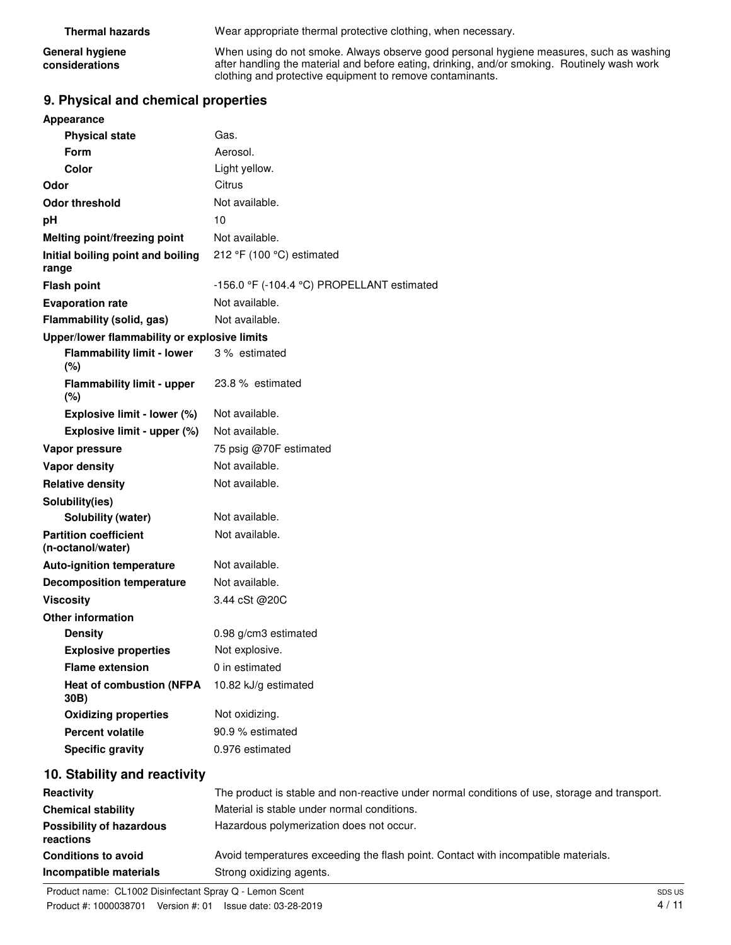| <b>Thermal hazards</b>                   | Wear appropriate thermal protective clothing, when necessary.                                                                                                                                                                                        |
|------------------------------------------|------------------------------------------------------------------------------------------------------------------------------------------------------------------------------------------------------------------------------------------------------|
| <b>General hygiene</b><br>considerations | When using do not smoke. Always observe good personal hygiene measures, such as washing<br>after handling the material and before eating, drinking, and/or smoking. Routinely wash work<br>clothing and protective equipment to remove contaminants. |

# **9. Physical and chemical properties**

| Appearance                                        |                                                                                               |
|---------------------------------------------------|-----------------------------------------------------------------------------------------------|
| <b>Physical state</b>                             | Gas.                                                                                          |
| <b>Form</b>                                       | Aerosol.                                                                                      |
| <b>Color</b>                                      | Light yellow.                                                                                 |
| Odor                                              | Citrus                                                                                        |
| <b>Odor threshold</b>                             | Not available.                                                                                |
| pH                                                | 10                                                                                            |
| Melting point/freezing point                      | Not available.                                                                                |
| Initial boiling point and boiling<br>range        | 212 °F (100 °C) estimated                                                                     |
| <b>Flash point</b>                                | -156.0 °F (-104.4 °C) PROPELLANT estimated                                                    |
| <b>Evaporation rate</b>                           | Not available.                                                                                |
| Flammability (solid, gas)                         | Not available.                                                                                |
| Upper/lower flammability or explosive limits      |                                                                                               |
| <b>Flammability limit - lower</b><br>(%)          | 3 % estimated                                                                                 |
| <b>Flammability limit - upper</b><br>(%)          | 23.8 % estimated                                                                              |
| Explosive limit - lower (%)                       | Not available.                                                                                |
| Explosive limit - upper (%)                       | Not available.                                                                                |
| Vapor pressure                                    | 75 psig @70F estimated                                                                        |
| <b>Vapor density</b>                              | Not available.                                                                                |
| <b>Relative density</b>                           | Not available.                                                                                |
| Solubility(ies)                                   |                                                                                               |
| Solubility (water)                                | Not available.                                                                                |
| <b>Partition coefficient</b><br>(n-octanol/water) | Not available.                                                                                |
| <b>Auto-ignition temperature</b>                  | Not available.                                                                                |
| <b>Decomposition temperature</b>                  | Not available.                                                                                |
| <b>Viscosity</b>                                  | 3.44 cSt @20C                                                                                 |
| <b>Other information</b>                          |                                                                                               |
| <b>Density</b>                                    | 0.98 g/cm3 estimated                                                                          |
| <b>Explosive properties</b>                       | Not explosive.                                                                                |
| <b>Flame extension</b>                            | 0 in estimated                                                                                |
| <b>Heat of combustion (NFPA</b><br>30B)           | 10.82 kJ/g estimated                                                                          |
| <b>Oxidizing properties</b>                       | Not oxidizing.                                                                                |
| <b>Percent volatile</b>                           | 90.9 % estimated                                                                              |
| <b>Specific gravity</b>                           | 0.976 estimated                                                                               |
| 10. Stability and reactivity                      |                                                                                               |
| Reactivity                                        | The product is stable and non-reactive under normal conditions of use, storage and transport. |
| <b>Chemical stability</b>                         | Material is stable under normal conditions.                                                   |
| <b>Possibility of hazardous</b><br>reactions      | Hazardous polymerization does not occur.                                                      |

**Conditions to avoid** Avoid temperatures exceeding the flash point. Contact with incompatible materials.

**Incompatible materials** Strong oxidizing agents.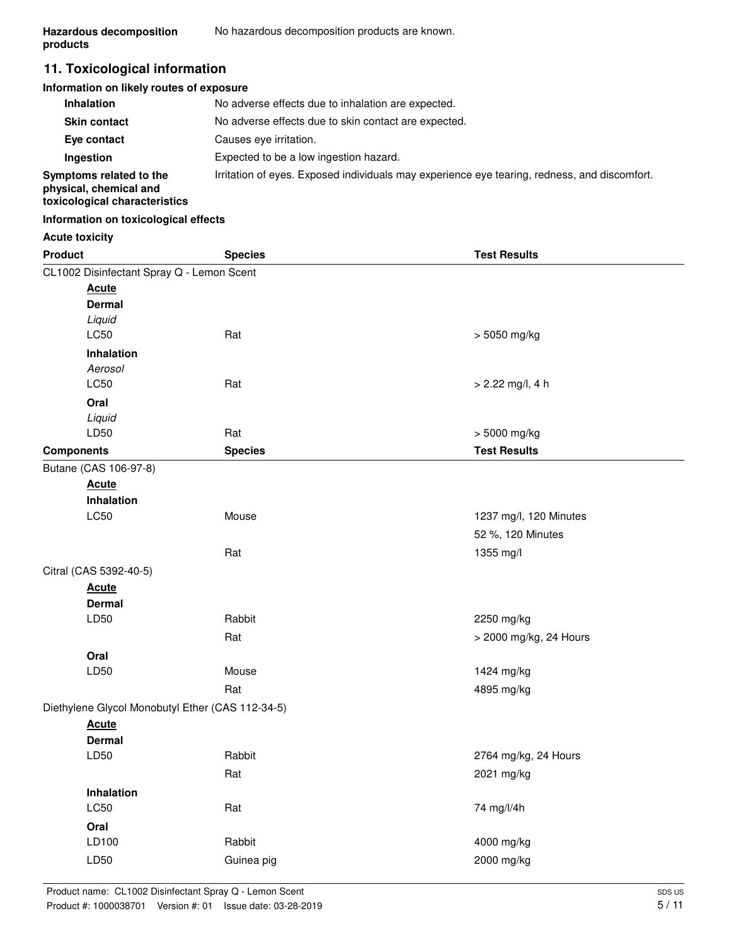# **11. Toxicological information**

#### **Information on likely routes of exposure**

| <b>Inhalation</b>                                                                  | No adverse effects due to inhalation are expected.                                           |
|------------------------------------------------------------------------------------|----------------------------------------------------------------------------------------------|
| <b>Skin contact</b>                                                                | No adverse effects due to skin contact are expected.                                         |
| Eye contact                                                                        | Causes eve irritation.                                                                       |
| Ingestion                                                                          | Expected to be a low ingestion hazard.                                                       |
| Symptoms related to the<br>physical, chemical and<br>toxicological characteristics | Irritation of eyes. Exposed individuals may experience eye tearing, redness, and discomfort. |

### **Information on toxicological effects**

### **Acute toxicity**

| <b>Product</b>        |                                                  | <b>Species</b> | <b>Test Results</b>    |  |
|-----------------------|--------------------------------------------------|----------------|------------------------|--|
|                       | CL1002 Disinfectant Spray Q - Lemon Scent        |                |                        |  |
|                       | <b>Acute</b>                                     |                |                        |  |
|                       | <b>Dermal</b>                                    |                |                        |  |
|                       | Liquid                                           |                |                        |  |
|                       | LC50                                             | Rat            | > 5050 mg/kg           |  |
|                       | Inhalation                                       |                |                        |  |
|                       | Aerosol                                          |                |                        |  |
|                       | <b>LC50</b>                                      | Rat            | $> 2.22$ mg/l, 4 h     |  |
|                       | Oral                                             |                |                        |  |
|                       | Liquid                                           |                |                        |  |
|                       | LD50                                             | Rat            | > 5000 mg/kg           |  |
| <b>Components</b>     |                                                  | <b>Species</b> | <b>Test Results</b>    |  |
| Butane (CAS 106-97-8) |                                                  |                |                        |  |
|                       | <b>Acute</b>                                     |                |                        |  |
|                       | Inhalation<br><b>LC50</b>                        | Mouse          | 1237 mg/l, 120 Minutes |  |
|                       |                                                  |                |                        |  |
|                       |                                                  |                | 52 %, 120 Minutes      |  |
|                       |                                                  | Rat            | 1355 mg/l              |  |
|                       | Citral (CAS 5392-40-5)                           |                |                        |  |
|                       | <b>Acute</b>                                     |                |                        |  |
|                       | <b>Dermal</b>                                    |                |                        |  |
|                       | LD50                                             | Rabbit         | 2250 mg/kg             |  |
|                       |                                                  | Rat            | > 2000 mg/kg, 24 Hours |  |
|                       | Oral                                             |                |                        |  |
|                       | LD50                                             | Mouse          | 1424 mg/kg             |  |
|                       |                                                  | Rat            | 4895 mg/kg             |  |
|                       | Diethylene Glycol Monobutyl Ether (CAS 112-34-5) |                |                        |  |
|                       | <b>Acute</b>                                     |                |                        |  |
|                       | <b>Dermal</b>                                    |                |                        |  |
|                       | LD50                                             | Rabbit         | 2764 mg/kg, 24 Hours   |  |
|                       |                                                  | Rat            | 2021 mg/kg             |  |
|                       | Inhalation                                       |                |                        |  |
|                       | LC50                                             | Rat            | 74 mg/l/4h             |  |
|                       | Oral                                             |                |                        |  |
|                       | LD100                                            | Rabbit         | 4000 mg/kg             |  |
|                       | LD50                                             | Guinea pig     | 2000 mg/kg             |  |
|                       |                                                  |                |                        |  |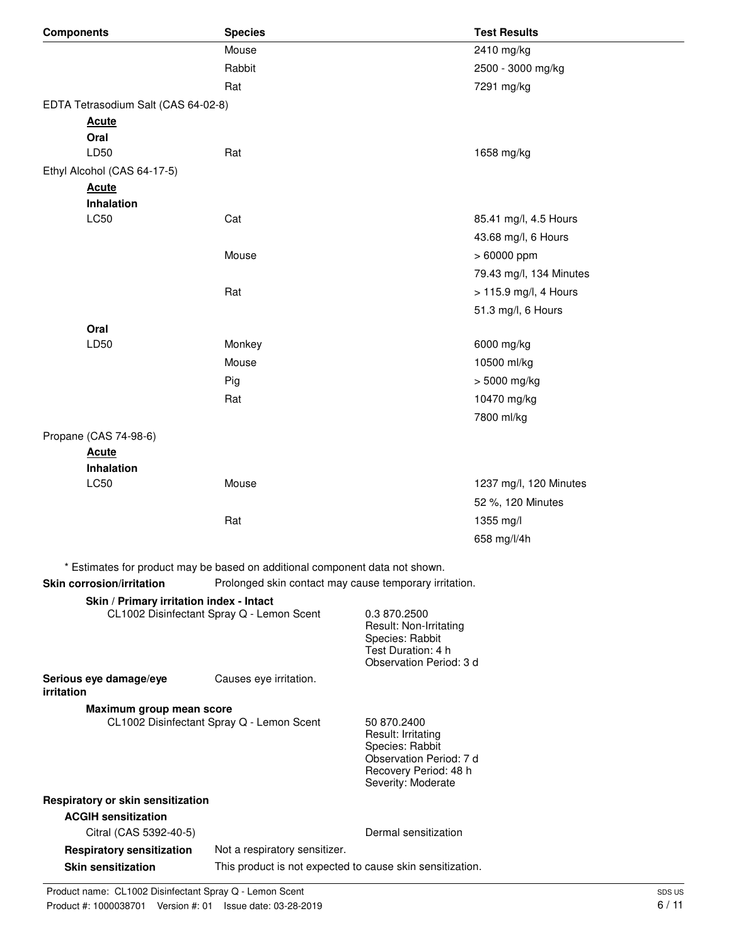| <b>Components</b>                                                                      | <b>Species</b>                                                               |                                             | <b>Test Results</b>     |
|----------------------------------------------------------------------------------------|------------------------------------------------------------------------------|---------------------------------------------|-------------------------|
|                                                                                        | Mouse                                                                        |                                             | 2410 mg/kg              |
|                                                                                        | Rabbit                                                                       |                                             | 2500 - 3000 mg/kg       |
|                                                                                        | Rat                                                                          |                                             | 7291 mg/kg              |
| EDTA Tetrasodium Salt (CAS 64-02-8)                                                    |                                                                              |                                             |                         |
| <b>Acute</b>                                                                           |                                                                              |                                             |                         |
| Oral                                                                                   |                                                                              |                                             |                         |
| LD50                                                                                   | Rat                                                                          |                                             | 1658 mg/kg              |
| Ethyl Alcohol (CAS 64-17-5)                                                            |                                                                              |                                             |                         |
| <b>Acute</b><br>Inhalation                                                             |                                                                              |                                             |                         |
| LC50                                                                                   | Cat                                                                          |                                             | 85.41 mg/l, 4.5 Hours   |
|                                                                                        |                                                                              |                                             | 43.68 mg/l, 6 Hours     |
|                                                                                        | Mouse                                                                        |                                             | > 60000 ppm             |
|                                                                                        |                                                                              |                                             | 79.43 mg/l, 134 Minutes |
|                                                                                        | Rat                                                                          |                                             | > 115.9 mg/l, 4 Hours   |
|                                                                                        |                                                                              |                                             | 51.3 mg/l, 6 Hours      |
| Oral                                                                                   |                                                                              |                                             |                         |
| LD50                                                                                   | Monkey                                                                       |                                             | 6000 mg/kg              |
|                                                                                        | Mouse                                                                        |                                             | 10500 ml/kg             |
|                                                                                        | Pig                                                                          |                                             | > 5000 mg/kg            |
|                                                                                        | Rat                                                                          |                                             | 10470 mg/kg             |
|                                                                                        |                                                                              |                                             | 7800 ml/kg              |
| Propane (CAS 74-98-6)                                                                  |                                                                              |                                             |                         |
| <b>Acute</b>                                                                           |                                                                              |                                             |                         |
| Inhalation                                                                             |                                                                              |                                             |                         |
| LC50                                                                                   | Mouse                                                                        |                                             | 1237 mg/l, 120 Minutes  |
|                                                                                        |                                                                              |                                             | 52 %, 120 Minutes       |
|                                                                                        | Rat                                                                          |                                             | 1355 mg/l               |
|                                                                                        |                                                                              |                                             | 658 mg/l/4h             |
|                                                                                        | * Estimates for product may be based on additional component data not shown. |                                             |                         |
| <b>Skin corrosion/irritation</b>                                                       | Prolonged skin contact may cause temporary irritation.                       |                                             |                         |
| Skin / Primary irritation index - Intact                                               |                                                                              |                                             |                         |
|                                                                                        | CL1002 Disinfectant Spray Q - Lemon Scent                                    | 0.3 870.2500                                |                         |
|                                                                                        |                                                                              | Result: Non-Irritating<br>Species: Rabbit   |                         |
|                                                                                        |                                                                              | Test Duration: 4 h                          |                         |
| Serious eye damage/eye                                                                 | Causes eye irritation.                                                       | Observation Period: 3 d                     |                         |
| irritation                                                                             |                                                                              |                                             |                         |
| Maximum group mean score                                                               |                                                                              |                                             |                         |
|                                                                                        | CL1002 Disinfectant Spray Q - Lemon Scent                                    |                                             |                         |
|                                                                                        |                                                                              |                                             |                         |
|                                                                                        |                                                                              | Observation Period: 7 d                     |                         |
|                                                                                        |                                                                              | Recovery Period: 48 h<br>Severity: Moderate |                         |
| Respiratory or skin sensitization                                                      |                                                                              |                                             |                         |
| <b>ACGIH sensitization</b>                                                             |                                                                              |                                             |                         |
| Citral (CAS 5392-40-5)                                                                 |                                                                              | Dermal sensitization                        |                         |
| <b>Respiratory sensitization</b>                                                       | Not a respiratory sensitizer.                                                |                                             |                         |
| <b>Skin sensitization</b><br>This product is not expected to cause skin sensitization. |                                                                              |                                             |                         |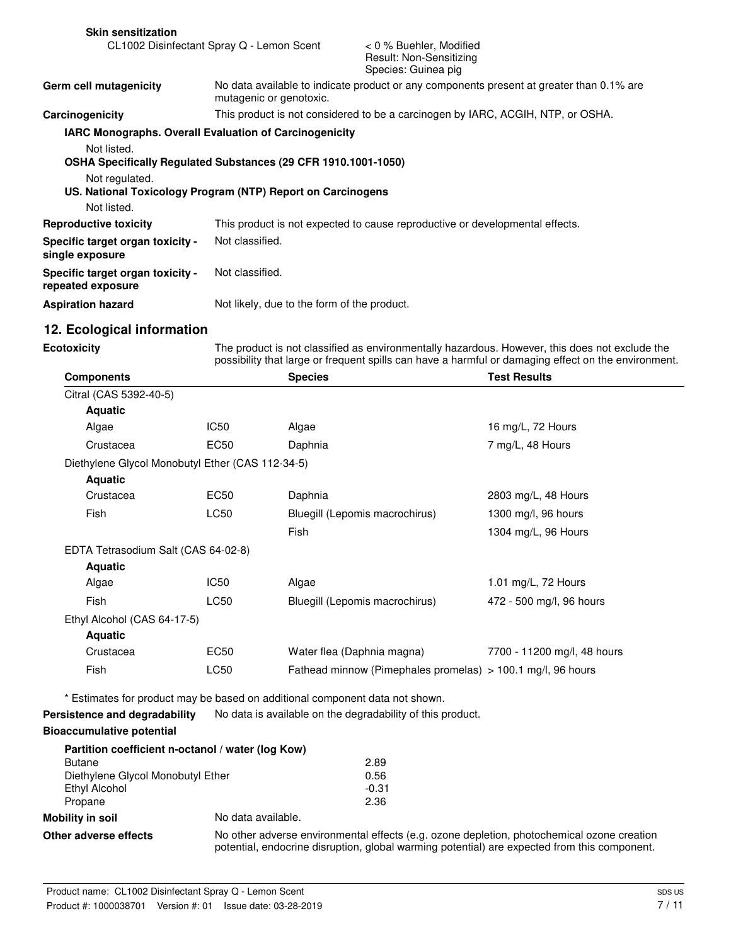| <b>Skin sensitization</b>                                                                                                                     |                                                                                 |                                                                              |  |
|-----------------------------------------------------------------------------------------------------------------------------------------------|---------------------------------------------------------------------------------|------------------------------------------------------------------------------|--|
| CL1002 Disinfectant Spray Q - Lemon Scent                                                                                                     |                                                                                 | < 0 % Buehler, Modified<br>Result: Non-Sensitizing<br>Species: Guinea pig    |  |
| No data available to indicate product or any components present at greater than 0.1% are<br>Germ cell mutagenicity<br>mutagenic or genotoxic. |                                                                                 |                                                                              |  |
| Carcinogenicity                                                                                                                               | This product is not considered to be a carcinogen by IARC, ACGIH, NTP, or OSHA. |                                                                              |  |
|                                                                                                                                               | <b>IARC Monographs. Overall Evaluation of Carcinogenicity</b>                   |                                                                              |  |
| Not listed.<br>OSHA Specifically Regulated Substances (29 CFR 1910.1001-1050)<br>Not regulated.                                               |                                                                                 |                                                                              |  |
|                                                                                                                                               | US. National Toxicology Program (NTP) Report on Carcinogens                     |                                                                              |  |
| Not listed.                                                                                                                                   |                                                                                 |                                                                              |  |
| <b>Reproductive toxicity</b>                                                                                                                  |                                                                                 | This product is not expected to cause reproductive or developmental effects. |  |
| Specific target organ toxicity -<br>single exposure                                                                                           | Not classified.                                                                 |                                                                              |  |
| Specific target organ toxicity -<br>repeated exposure                                                                                         | Not classified.                                                                 |                                                                              |  |
| <b>Aspiration hazard</b>                                                                                                                      | Not likely, due to the form of the product.                                     |                                                                              |  |

# **12. Ecological information**

**Ecotoxicity**

The product is not classified as environmentally hazardous. However, this does not exclude the possibility that large or frequent spills can have a harmful or damaging effect on the environment.

| <b>Components</b>                                 |                    | <b>Species</b>                                                               | <b>Test Results</b>         |
|---------------------------------------------------|--------------------|------------------------------------------------------------------------------|-----------------------------|
| Citral (CAS 5392-40-5)                            |                    |                                                                              |                             |
| <b>Aquatic</b>                                    |                    |                                                                              |                             |
| Algae                                             | IC <sub>50</sub>   | Algae                                                                        | 16 mg/L, 72 Hours           |
| Crustacea                                         | <b>EC50</b>        | Daphnia                                                                      | 7 mg/L, 48 Hours            |
| Diethylene Glycol Monobutyl Ether (CAS 112-34-5)  |                    |                                                                              |                             |
| <b>Aquatic</b>                                    |                    |                                                                              |                             |
| Crustacea                                         | <b>EC50</b>        | Daphnia                                                                      | 2803 mg/L, 48 Hours         |
| Fish                                              | <b>LC50</b>        | Bluegill (Lepomis macrochirus)                                               | 1300 mg/l, 96 hours         |
|                                                   |                    | Fish                                                                         | 1304 mg/L, 96 Hours         |
| EDTA Tetrasodium Salt (CAS 64-02-8)               |                    |                                                                              |                             |
| <b>Aquatic</b>                                    |                    |                                                                              |                             |
| Algae                                             | IC <sub>50</sub>   | Algae                                                                        | 1.01 mg/L, 72 Hours         |
| Fish                                              | LC50               | Bluegill (Lepomis macrochirus)                                               | 472 - 500 mg/l, 96 hours    |
| Ethyl Alcohol (CAS 64-17-5)                       |                    |                                                                              |                             |
| <b>Aquatic</b>                                    |                    |                                                                              |                             |
| Crustacea                                         | <b>EC50</b>        | Water flea (Daphnia magna)                                                   | 7700 - 11200 mg/l, 48 hours |
| Fish                                              | LC50               | Fathead minnow (Pimephales promelas) > 100.1 mg/l, 96 hours                  |                             |
|                                                   |                    | * Estimates for product may be based on additional component data not shown. |                             |
| Persistence and degradability                     |                    | No data is available on the degradability of this product.                   |                             |
| <b>Bioaccumulative potential</b>                  |                    |                                                                              |                             |
| Partition coefficient n-octanol / water (log Kow) |                    |                                                                              |                             |
| <b>Butane</b>                                     |                    | 2.89                                                                         |                             |
| Diethylene Glycol Monobutyl Ether                 |                    | 0.56                                                                         |                             |
| Ethyl Alcohol<br>Propane                          |                    | $-0.31$<br>2.36                                                              |                             |
| <b>Mobility in soil</b>                           | No data available. |                                                                              |                             |
|                                                   |                    |                                                                              |                             |

**Other adverse effects** No other adverse environmental effects (e.g. ozone depletion, photochemical ozone creation potential, endocrine disruption, global warming potential) are expected from this component.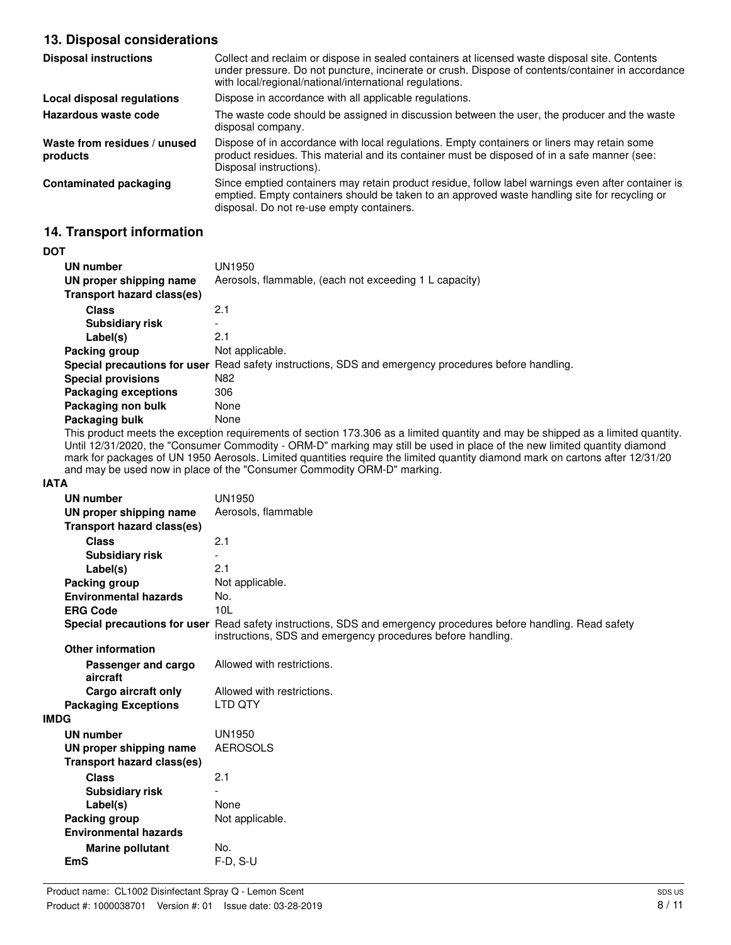# **13. Disposal considerations**

| <b>Disposal instructions</b>             | Collect and reclaim or dispose in sealed containers at licensed waste disposal site. Contents<br>under pressure. Do not puncture, incinerate or crush. Dispose of contents/container in accordance<br>with local/regional/national/international regulations. |
|------------------------------------------|---------------------------------------------------------------------------------------------------------------------------------------------------------------------------------------------------------------------------------------------------------------|
| Local disposal regulations               | Dispose in accordance with all applicable regulations.                                                                                                                                                                                                        |
| Hazardous waste code                     | The waste code should be assigned in discussion between the user, the producer and the waste<br>disposal company.                                                                                                                                             |
| Waste from residues / unused<br>products | Dispose of in accordance with local regulations. Empty containers or liners may retain some<br>product residues. This material and its container must be disposed of in a safe manner (see:<br>Disposal instructions).                                        |
| Contaminated packaging                   | Since emptied containers may retain product residue, follow label warnings even after container is<br>emptied. Empty containers should be taken to an approved waste handling site for recycling or<br>disposal. Do not re-use empty containers.              |

# **14. Transport information**

#### **DOT**

| UN number                   | UN1950                                                                                               |
|-----------------------------|------------------------------------------------------------------------------------------------------|
| UN proper shipping name     | Aerosols, flammable, (each not exceeding 1 L capacity)                                               |
| Transport hazard class(es)  |                                                                                                      |
| <b>Class</b>                | 2.1                                                                                                  |
| <b>Subsidiary risk</b>      | $\overline{\phantom{a}}$                                                                             |
| Label(s)                    | 2.1                                                                                                  |
| Packing group               | Not applicable.                                                                                      |
|                             | Special precautions for user Read safety instructions, SDS and emergency procedures before handling. |
| <b>Special provisions</b>   | N82                                                                                                  |
| <b>Packaging exceptions</b> | 306                                                                                                  |
| Packaging non bulk          | None                                                                                                 |
| Packaging bulk              | None                                                                                                 |

This product meets the exception requirements of section 173.306 as a limited quantity and may be shipped as a limited quantity. Until 12/31/2020, the "Consumer Commodity - ORM-D" marking may still be used in place of the new limited quantity diamond mark for packages of UN 1950 Aerosols. Limited quantities require the limited quantity diamond mark on cartons after 12/31/20 and may be used now in place of the "Consumer Commodity ORM-D" marking.

#### **IATA**

| <b>UN number</b>                  | <b>UN1950</b>                                                                                                                                                                   |
|-----------------------------------|---------------------------------------------------------------------------------------------------------------------------------------------------------------------------------|
| UN proper shipping name           | Aerosols, flammable                                                                                                                                                             |
| <b>Transport hazard class(es)</b> |                                                                                                                                                                                 |
| <b>Class</b>                      | 2.1                                                                                                                                                                             |
| <b>Subsidiary risk</b>            |                                                                                                                                                                                 |
| Label(s)                          | 2.1                                                                                                                                                                             |
| Packing group                     | Not applicable.                                                                                                                                                                 |
| <b>Environmental hazards</b>      | No.                                                                                                                                                                             |
| <b>ERG Code</b>                   | 10 <sub>L</sub>                                                                                                                                                                 |
|                                   | Special precautions for user Read safety instructions, SDS and emergency procedures before handling. Read safety<br>instructions, SDS and emergency procedures before handling. |
| <b>Other information</b>          |                                                                                                                                                                                 |
| Passenger and cargo<br>aircraft   | Allowed with restrictions.                                                                                                                                                      |
| Cargo aircraft only               | Allowed with restrictions.                                                                                                                                                      |
| <b>Packaging Exceptions</b>       | <b>LTD OTY</b>                                                                                                                                                                  |
| <b>IMDG</b>                       |                                                                                                                                                                                 |
| <b>UN number</b>                  | <b>UN1950</b>                                                                                                                                                                   |
| UN proper shipping name           | <b>AEROSOLS</b>                                                                                                                                                                 |
| <b>Transport hazard class(es)</b> |                                                                                                                                                                                 |
| <b>Class</b>                      | 2.1                                                                                                                                                                             |
| <b>Subsidiary risk</b>            |                                                                                                                                                                                 |
| Label(s)                          | None                                                                                                                                                                            |
| Packing group                     | Not applicable.                                                                                                                                                                 |
| <b>Environmental hazards</b>      |                                                                                                                                                                                 |
| <b>Marine pollutant</b>           | No.                                                                                                                                                                             |
| <b>EmS</b>                        | $F-D, S-U$                                                                                                                                                                      |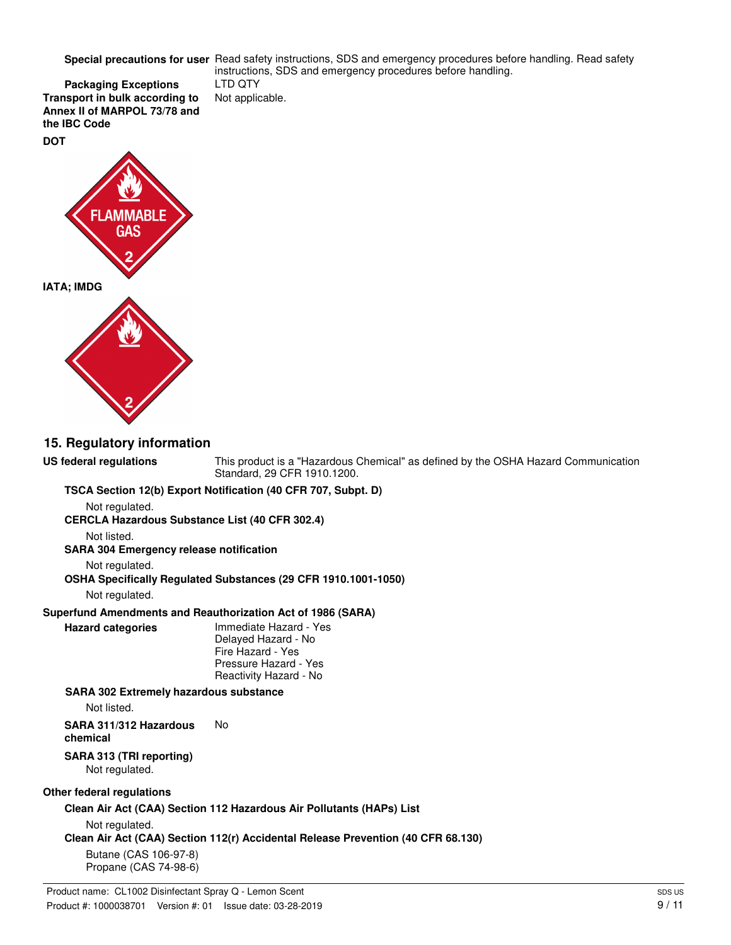Special precautions for user Read safety instructions, SDS and emergency procedures before handling. Read safety

**Packaging Exceptions** LTD QTY **Transport in bulk according to** Not applicable. **Annex II of MARPOL 73/78 and the IBC Code**



### **15. Regulatory information**

**US federal regulations**

This product is a "Hazardous Chemical" as defined by the OSHA Hazard Communication Standard, 29 CFR 1910.1200.

instructions, SDS and emergency procedures before handling.

**TSCA Section 12(b) Export Notification (40 CFR 707, Subpt. D)**

Not regulated.

**CERCLA Hazardous Substance List (40 CFR 302.4)**

Not listed.

**SARA 304 Emergency release notification**

Not regulated.

**OSHA Specifically Regulated Substances (29 CFR 1910.1001-1050)**

Not regulated.

### **Superfund Amendments and Reauthorization Act of 1986 (SARA)**

**Hazard categories**

Immediate Hazard - Yes Delayed Hazard - No Fire Hazard - Yes Pressure Hazard - Yes Reactivity Hazard - No

**SARA 302 Extremely hazardous substance** Not listed. **SARA 311/312 Hazardous** No **chemical**

#### **SARA 313 (TRI reporting)** Not regulated.

### **Other federal regulations**

**Clean Air Act (CAA) Section 112 Hazardous Air Pollutants (HAPs) List**

Not regulated.

**Clean Air Act (CAA) Section 112(r) Accidental Release Prevention (40 CFR 68.130)**

Butane (CAS 106-97-8) Propane (CAS 74-98-6)